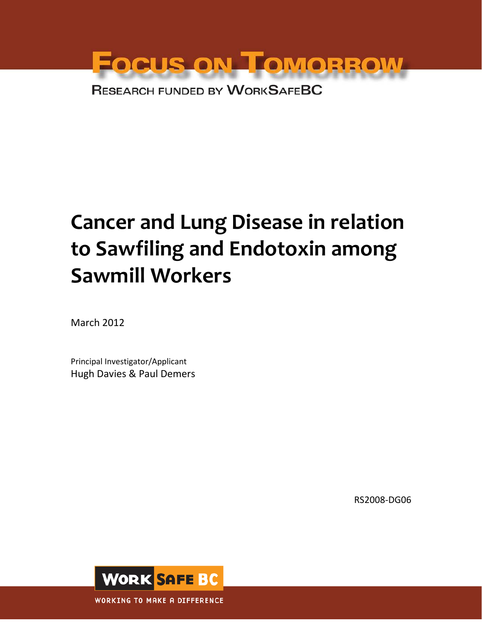

# **Cancer and Lung Disease in relation to Sawfiling and Endotoxin among Sawmill Workers**

March 2012

Principal Investigator/Applicant Hugh Davies & Paul Demers

RS2008-DG06

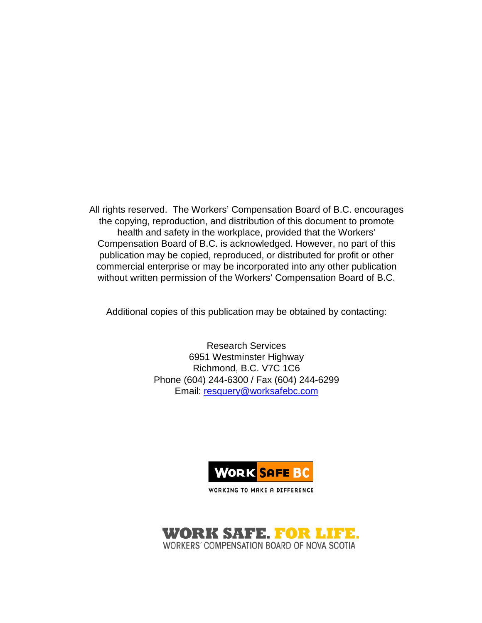All rights reserved. The Workers' Compensation Board of B.C. encourages the copying, reproduction, and distribution of this document to promote health and safety in the workplace, provided that the Workers' Compensation Board of B.C. is acknowledged. However, no part of this publication may be copied, reproduced, or distributed for profit or other commercial enterprise or may be incorporated into any other publication without written permission of the Workers' Compensation Board of B.C.

Additional copies of this publication may be obtained by contacting:

Research Services 6951 Westminster Highway Richmond, B.C. V7C 1C6 Phone (604) 244-6300 / Fax (604) 244-6299 Email: [resquery@worksafebc.com](mailto:resquery@worksafebc.com)



WORKING TO MAKE A DIFFERENCE

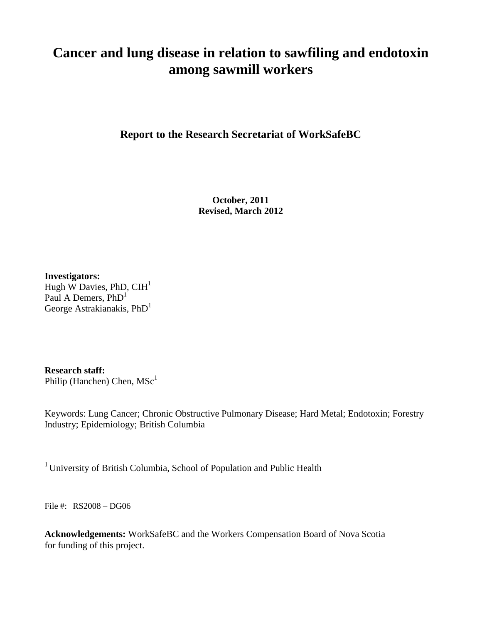# **Cancer and lung disease in relation to sawfiling and endotoxin among sawmill workers**

**Report to the Research Secretariat of WorkSafeBC**

**October, 2011 Revised, March 2012**

**Investigators:** Hugh W Davies, PhD,  $CH<sup>1</sup>$ Paul A Demers,  $PhD<sup>1</sup>$ George Astrakianakis,  $PhD<sup>1</sup>$ 

**Research staff:**

Philip (Hanchen) Chen,  $MSc<sup>1</sup>$ 

Keywords: Lung Cancer; Chronic Obstructive Pulmonary Disease; Hard Metal; Endotoxin; Forestry Industry; Epidemiology; British Columbia

<sup>1</sup> University of British Columbia, School of Population and Public Health

File #: RS2008 – DG06

**Acknowledgements:** WorkSafeBC and the Workers Compensation Board of Nova Scotia for funding of this project.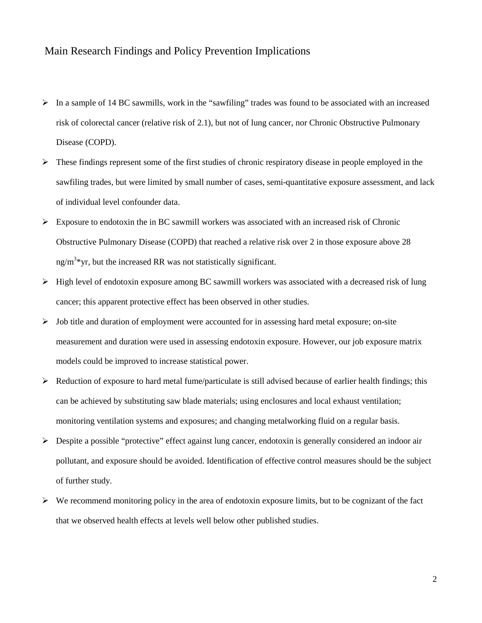# Main Research Findings and Policy Prevention Implications

- $\triangleright$  In a sample of 14 BC sawmills, work in the "sawfiling" trades was found to be associated with an increased risk of colorectal cancer (relative risk of 2.1), but not of lung cancer, nor Chronic Obstructive Pulmonary Disease (COPD).
- $\triangleright$  These findings represent some of the first studies of chronic respiratory disease in people employed in the sawfiling trades, but were limited by small number of cases, semi-quantitative exposure assessment, and lack of individual level confounder data.
- $\triangleright$  Exposure to endotoxin the in BC sawmill workers was associated with an increased risk of Chronic Obstructive Pulmonary Disease (COPD) that reached a relative risk over 2 in those exposure above 28  $ng/m<sup>3</sup>$ yr, but the increased RR was not statistically significant.
- $\triangleright$  High level of endotoxin exposure among BC sawmill workers was associated with a decreased risk of lung cancer; this apparent protective effect has been observed in other studies.
- $\triangleright$  Job title and duration of employment were accounted for in assessing hard metal exposure; on-site measurement and duration were used in assessing endotoxin exposure. However, our job exposure matrix models could be improved to increase statistical power.
- $\triangleright$  Reduction of exposure to hard metal fume/particulate is still advised because of earlier health findings; this can be achieved by substituting saw blade materials; using enclosures and local exhaust ventilation; monitoring ventilation systems and exposures; and changing metalworking fluid on a regular basis.
- Despite a possible "protective" effect against lung cancer, endotoxin is generally considered an indoor air pollutant, and exposure should be avoided. Identification of effective control measures should be the subject of further study.
- $\triangleright$  We recommend monitoring policy in the area of endotoxin exposure limits, but to be cognizant of the fact that we observed health effects at levels well below other published studies.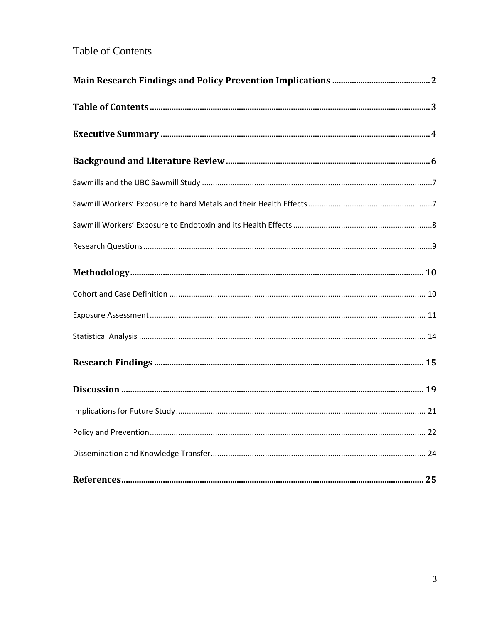# Table of Contents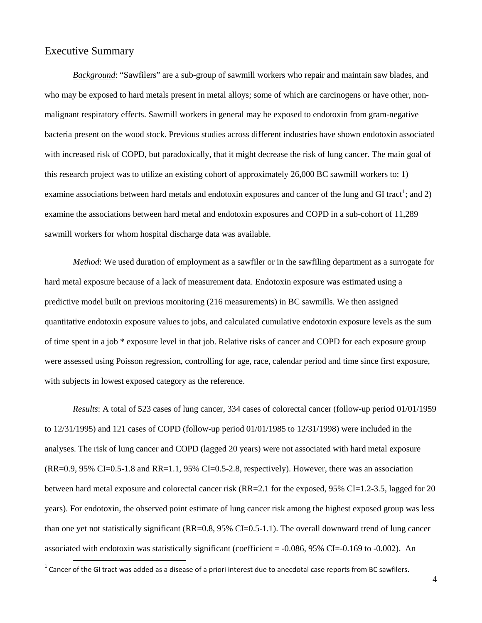# Executive Summary

*Background*: "Sawfilers" are a sub-group of sawmill workers who repair and maintain saw blades, and who may be exposed to hard metals present in metal alloys; some of which are carcinogens or have other, nonmalignant respiratory effects. Sawmill workers in general may be exposed to endotoxin from gram-negative bacteria present on the wood stock. Previous studies across different industries have shown endotoxin associated with increased risk of COPD, but paradoxically, that it might decrease the risk of lung cancer. The main goal of this research project was to utilize an existing cohort of approximately 26,000 BC sawmill workers to: 1) examine associations between hard metals and endotoxin exposures and cancer of the lung and GI tract<sup>[1](#page-5-0)</sup>; and 2) examine the associations between hard metal and endotoxin exposures and COPD in a sub-cohort of 11,289 sawmill workers for whom hospital discharge data was available.

*Method*: We used duration of employment as a sawfiler or in the sawfiling department as a surrogate for hard metal exposure because of a lack of measurement data. Endotoxin exposure was estimated using a predictive model built on previous monitoring (216 measurements) in BC sawmills. We then assigned quantitative endotoxin exposure values to jobs, and calculated cumulative endotoxin exposure levels as the sum of time spent in a job \* exposure level in that job. Relative risks of cancer and COPD for each exposure group were assessed using Poisson regression, controlling for age, race, calendar period and time since first exposure, with subjects in lowest exposed category as the reference.

*Results*: A total of 523 cases of lung cancer, 334 cases of colorectal cancer (follow-up period 01/01/1959 to 12/31/1995) and 121 cases of COPD (follow-up period 01/01/1985 to 12/31/1998) were included in the analyses. The risk of lung cancer and COPD (lagged 20 years) were not associated with hard metal exposure  $(RR=0.9, 95\% \text{ CI} = 0.5-1.8 \text{ and } RR=1.1, 95\% \text{ CI} = 0.5-2.8$ , respectively). However, there was an association between hard metal exposure and colorectal cancer risk (RR=2.1 for the exposed, 95% CI=1.2-3.5, lagged for 20 years). For endotoxin, the observed point estimate of lung cancer risk among the highest exposed group was less than one yet not statistically significant (RR=0.8, 95% CI=0.5-1.1). The overall downward trend of lung cancer associated with endotoxin was statistically significant (coefficient  $= -0.086, 95\%$  CI $= -0.169$  to  $-0.002$ ). An

<span id="page-5-0"></span> $1$  Cancer of the GI tract was added as a disease of a priori interest due to anecdotal case reports from BC sawfilers.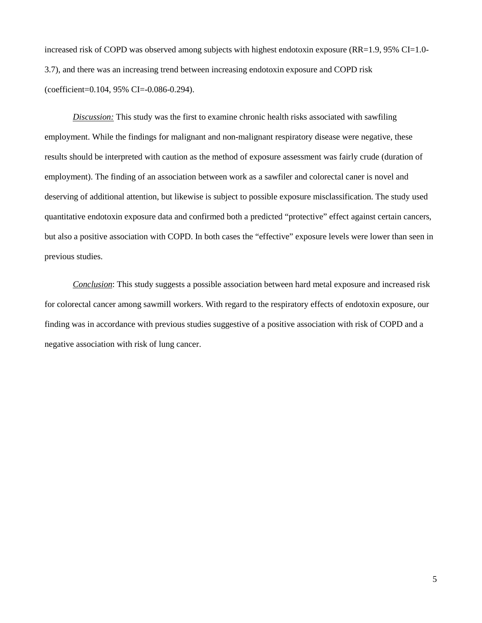increased risk of COPD was observed among subjects with highest endotoxin exposure ( $RR=1.9$ , 95% CI=1.0-3.7), and there was an increasing trend between increasing endotoxin exposure and COPD risk (coefficient=0.104, 95% CI=-0.086-0.294).

*Discussion:* This study was the first to examine chronic health risks associated with sawfiling employment. While the findings for malignant and non-malignant respiratory disease were negative, these results should be interpreted with caution as the method of exposure assessment was fairly crude (duration of employment). The finding of an association between work as a sawfiler and colorectal caner is novel and deserving of additional attention, but likewise is subject to possible exposure misclassification. The study used quantitative endotoxin exposure data and confirmed both a predicted "protective" effect against certain cancers, but also a positive association with COPD. In both cases the "effective" exposure levels were lower than seen in previous studies.

*Conclusion*: This study suggests a possible association between hard metal exposure and increased risk for colorectal cancer among sawmill workers. With regard to the respiratory effects of endotoxin exposure, our finding was in accordance with previous studies suggestive of a positive association with risk of COPD and a negative association with risk of lung cancer.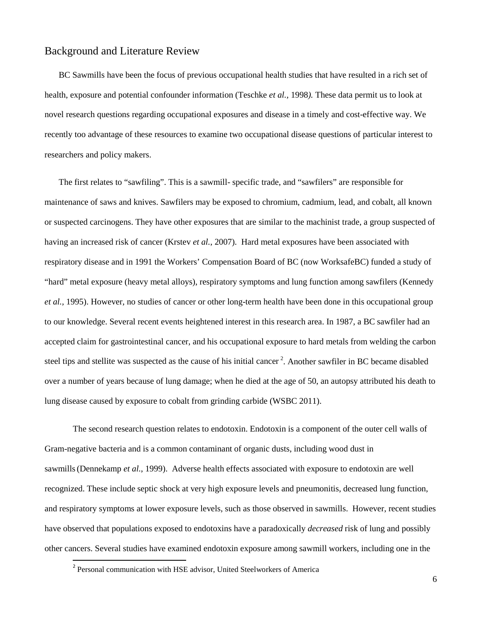# Background and Literature Review

BC Sawmills have been the focus of previous occupational health studies that have resulted in a rich set of health, exposure and potential confounder information (Teschke *et al.,* 1998*).* These data permit us to look at novel research questions regarding occupational exposures and disease in a timely and cost-effective way. We recently too advantage of these resources to examine two occupational disease questions of particular interest to researchers and policy makers.

The first relates to "sawfiling". This is a sawmill- specific trade, and "sawfilers" are responsible for maintenance of saws and knives. Sawfilers may be exposed to chromium, cadmium, lead, and cobalt, all known or suspected carcinogens. They have other exposures that are similar to the machinist trade, a group suspected of having an increased risk of cancer (Krstev *et al.*, 2007). Hard metal exposures have been associated with respiratory disease and in 1991 the Workers' Compensation Board of BC (now WorksafeBC) funded a study of "hard" metal exposure (heavy metal alloys), respiratory symptoms and lung function among sawfilers (Kennedy *et al.,* 1995). However, no studies of cancer or other long-term health have been done in this occupational group to our knowledge. Several recent events heightened interest in this research area. In 1987, a BC sawfiler had an accepted claim for gastrointestinal cancer, and his occupational exposure to hard metals from welding the carbon steel tips and stellite was suspected as the cause of his initial cancer<sup>[2](#page-7-0)</sup>. Another sawfiler in BC became disabled over a number of years because of lung damage; when he died at the age of 50, an autopsy attributed his death to lung disease caused by exposure to cobalt from grinding carbide (WSBC 2011).

The second research question relates to endotoxin. Endotoxin is a component of the outer cell walls of Gram-negative bacteria and is a common contaminant of organic dusts, including wood dust in sawmills(Dennekamp *et al.*, 1999). Adverse health effects associated with exposure to endotoxin are well recognized. These include septic shock at very high exposure levels and pneumonitis, decreased lung function, and respiratory symptoms at lower exposure levels, such as those observed in sawmills. However, recent studies have observed that populations exposed to endotoxins have a paradoxically *decreased* risk of lung and possibly other cancers. Several studies have examined endotoxin exposure among sawmill workers, including one in the

<span id="page-7-0"></span> <sup>2</sup> Personal communication with HSE advisor, United Steelworkers of America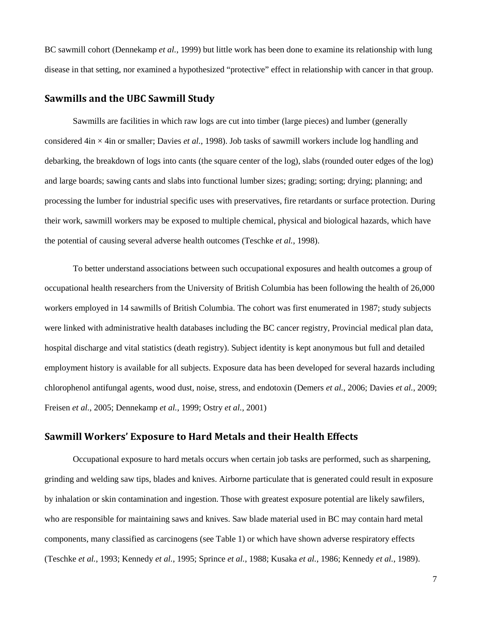BC sawmill cohort (Dennekamp *et al.*, 1999) but little work has been done to examine its relationship with lung disease in that setting, nor examined a hypothesized "protective" effect in relationship with cancer in that group.

#### **Sawmills and the UBC Sawmill Study**

Sawmills are facilities in which raw logs are cut into timber (large pieces) and lumber (generally considered 4in × 4in or smaller; Davies *et al.*, 1998). Job tasks of sawmill workers include log handling and debarking, the breakdown of logs into cants (the square center of the log), slabs (rounded outer edges of the log) and large boards; sawing cants and slabs into functional lumber sizes; grading; sorting; drying; planning; and processing the lumber for industrial specific uses with preservatives, fire retardants or surface protection. During their work, sawmill workers may be exposed to multiple chemical, physical and biological hazards, which have the potential of causing several adverse health outcomes (Teschke *et al.*, 1998).

To better understand associations between such occupational exposures and health outcomes a group of occupational health researchers from the University of British Columbia has been following the health of 26,000 workers employed in 14 sawmills of British Columbia. The cohort was first enumerated in 1987; study subjects were linked with administrative health databases including the BC cancer registry, Provincial medical plan data, hospital discharge and vital statistics (death registry). Subject identity is kept anonymous but full and detailed employment history is available for all subjects. Exposure data has been developed for several hazards including chlorophenol antifungal agents, wood dust, noise, stress, and endotoxin (Demers *et al.*, 2006; Davies *et al.*, 2009; Freisen *et al.*, 2005; Dennekamp *et al.*, 1999; Ostry *et al.*, 2001)

#### **Sawmill Workers' Exposure to Hard Metals and their Health Effects**

Occupational exposure to hard metals occurs when certain job tasks are performed, such as sharpening, grinding and welding saw tips, blades and knives. Airborne particulate that is generated could result in exposure by inhalation or skin contamination and ingestion. Those with greatest exposure potential are likely sawfilers, who are responsible for maintaining saws and knives. Saw blade material used in BC may contain hard metal components, many classified as carcinogens (see Table 1) or which have shown adverse respiratory effects (Teschke *et al.*, 1993; Kennedy *et al.*, 1995; Sprince *et al.*, 1988; Kusaka *et al.*, 1986; Kennedy *et al.*, 1989).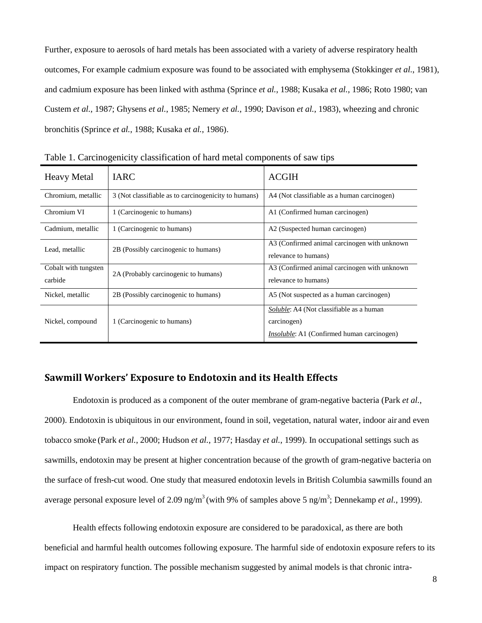Further, exposure to aerosols of hard metals has been associated with a variety of adverse respiratory health outcomes, For example cadmium exposure was found to be associated with emphysema (Stokkinger *et al.*, 1981), and cadmium exposure has been linked with asthma (Sprince *et al.*, 1988; Kusaka *et al.*, 1986; Roto 1980; van Custem *et al.*, 1987; Ghysens *et al.*, 1985; Nemery *et al.*, 1990; Davison *et al.*, 1983), wheezing and chronic bronchitis (Sprince *et al.*, 1988; Kusaka *et al.*, 1986).

| <b>Heavy Metal</b>              | <b>IARC</b>                                          | <b>ACGIH</b>                                                                                                        |
|---------------------------------|------------------------------------------------------|---------------------------------------------------------------------------------------------------------------------|
| Chromium, metallic              | 3 (Not classifiable as to carcinogenicity to humans) | A4 (Not classifiable as a human carcinogen)                                                                         |
| Chromium VI                     | 1 (Carcinogenic to humans)                           | A1 (Confirmed human carcinogen)                                                                                     |
| Cadmium, metallic               | 1 (Carcinogenic to humans)                           | A2 (Suspected human carcinogen)                                                                                     |
| Lead, metallic                  | 2B (Possibly carcinogenic to humans)                 | A3 (Confirmed animal carcinogen with unknown<br>relevance to humans)                                                |
| Cobalt with tungsten<br>carbide | 2A (Probably carcinogenic to humans)                 | A3 (Confirmed animal carcinogen with unknown<br>relevance to humans)                                                |
| Nickel, metallic                | 2B (Possibly carcinogenic to humans)                 | A5 (Not suspected as a human carcinogen)                                                                            |
| Nickel, compound                | 1 (Carcinogenic to humans)                           | <i>Soluble:</i> A4 (Not classifiable as a human<br>carcinogen)<br><i>Insoluble:</i> A1 (Confirmed human carcinogen) |

Table 1. Carcinogenicity classification of hard metal components of saw tips

#### **Sawmill Workers' Exposure to Endotoxin and its Health Effects**

Endotoxin is produced as a component of the outer membrane of gram-negative bacteria (Park *et al.*, 2000). Endotoxin is ubiquitous in our environment, found in soil, vegetation, natural water, indoor air and even tobacco smoke (Park *et al.*, 2000; Hudson *et al.*, 1977; Hasday *et al.*, 1999). In occupational settings such as sawmills, endotoxin may be present at higher concentration because of the growth of gram-negative bacteria on the surface of fresh-cut wood. One study that measured endotoxin levels in British Columbia sawmills found an average personal exposure level of 2.09 ng/m<sup>3</sup> (with 9% of samples above 5 ng/m<sup>3</sup>; Dennekamp *et al.*, 1999).

Health effects following endotoxin exposure are considered to be paradoxical, as there are both beneficial and harmful health outcomes following exposure. The harmful side of endotoxin exposure refers to its impact on respiratory function. The possible mechanism suggested by animal models is that chronic intra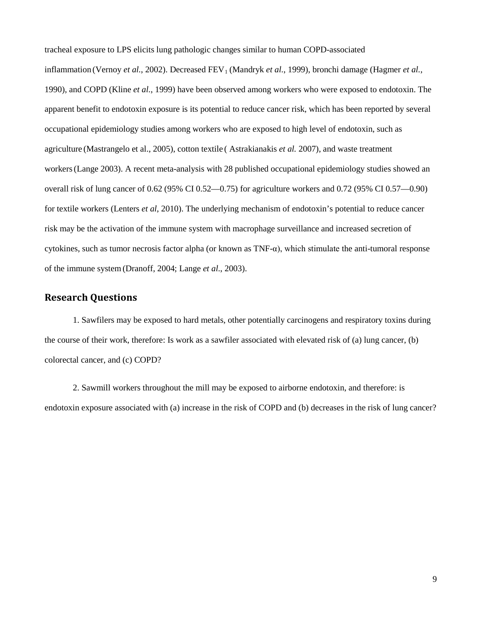tracheal exposure to LPS elicits lung pathologic changes similar to human COPD-associated

inflammation (Vernoy *et al.*, 2002). Decreased FEV<sub>1</sub> (Mandryk *et al.*, 1999), bronchi damage (Hagmer *et al.*, 1990), and COPD (Kline *et al.*, 1999) have been observed among workers who were exposed to endotoxin. The apparent benefit to endotoxin exposure is its potential to reduce cancer risk, which has been reported by several occupational epidemiology studies among workers who are exposed to high level of endotoxin, such as agriculture (Mastrangelo et al., 2005), cotton textile ( Astrakianakis *et al.* 2007), and waste treatment workers(Lange 2003). A recent meta-analysis with 28 published occupational epidemiology studies showed an overall risk of lung cancer of 0.62 (95% CI 0.52—0.75) for agriculture workers and 0.72 (95% CI 0.57—0.90) for textile workers (Lenters *et al*, 2010). The underlying mechanism of endotoxin's potential to reduce cancer risk may be the activation of the immune system with macrophage surveillance and increased secretion of cytokines, such as tumor necrosis factor alpha (or known as  $TNF-\alpha$ ), which stimulate the anti-tumoral response of the immune system(Dranoff, 2004; Lange *et al.*, 2003).

### **Research Questions**

1. Sawfilers may be exposed to hard metals, other potentially carcinogens and respiratory toxins during the course of their work, therefore: Is work as a sawfiler associated with elevated risk of (a) lung cancer, (b) colorectal cancer, and (c) COPD?

2. Sawmill workers throughout the mill may be exposed to airborne endotoxin, and therefore: is endotoxin exposure associated with (a) increase in the risk of COPD and (b) decreases in the risk of lung cancer?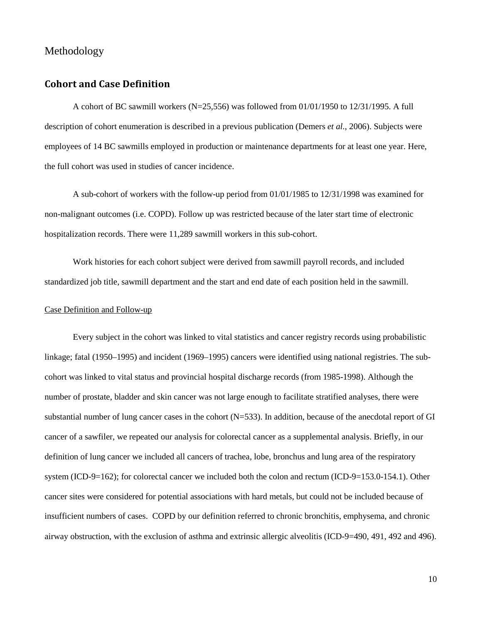#### Methodology

#### **Cohort and Case Definition**

A cohort of BC sawmill workers (N=25,556) was followed from 01/01/1950 to 12/31/1995. A full description of cohort enumeration is described in a previous publication (Demers *et al.*, 2006). Subjects were employees of 14 BC sawmills employed in production or maintenance departments for at least one year. Here, the full cohort was used in studies of cancer incidence.

A sub-cohort of workers with the follow-up period from 01/01/1985 to 12/31/1998 was examined for non-malignant outcomes (i.e. COPD). Follow up was restricted because of the later start time of electronic hospitalization records. There were 11,289 sawmill workers in this sub-cohort.

Work histories for each cohort subject were derived from sawmill payroll records, and included standardized job title, sawmill department and the start and end date of each position held in the sawmill.

#### Case Definition and Follow-up

Every subject in the cohort was linked to vital statistics and cancer registry records using probabilistic linkage; fatal (1950–1995) and incident (1969–1995) cancers were identified using national registries. The subcohort was linked to vital status and provincial hospital discharge records (from 1985-1998). Although the number of prostate, bladder and skin cancer was not large enough to facilitate stratified analyses, there were substantial number of lung cancer cases in the cohort  $(N=533)$ . In addition, because of the anecdotal report of GI cancer of a sawfiler, we repeated our analysis for colorectal cancer as a supplemental analysis. Briefly, in our definition of lung cancer we included all cancers of trachea, lobe, bronchus and lung area of the respiratory system (ICD-9=162); for colorectal cancer we included both the colon and rectum (ICD-9=153.0-154.1). Other cancer sites were considered for potential associations with hard metals, but could not be included because of insufficient numbers of cases. COPD by our definition referred to chronic bronchitis, emphysema, and chronic airway obstruction, with the exclusion of asthma and extrinsic allergic alveolitis (ICD-9=490, 491, 492 and 496).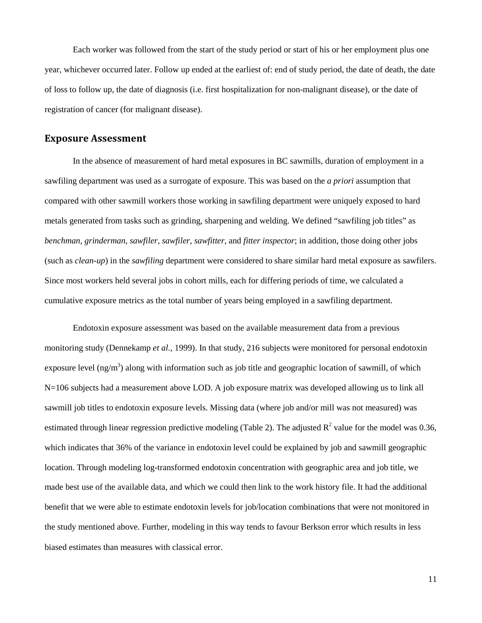Each worker was followed from the start of the study period or start of his or her employment plus one year, whichever occurred later. Follow up ended at the earliest of: end of study period, the date of death, the date of loss to follow up, the date of diagnosis (i.e. first hospitalization for non-malignant disease), or the date of registration of cancer (for malignant disease).

#### **Exposure Assessment**

In the absence of measurement of hard metal exposures in BC sawmills, duration of employment in a sawfiling department was used as a surrogate of exposure. This was based on the *a priori* assumption that compared with other sawmill workers those working in sawfiling department were uniquely exposed to hard metals generated from tasks such as grinding, sharpening and welding. We defined "sawfiling job titles" as *benchman*, *grinderman*, *sawfiler*, *sawfiler*, *sawfitter*, and *fitter inspector*; in addition, those doing other jobs (such as *clean-up*) in the *sawfiling* department were considered to share similar hard metal exposure as sawfilers. Since most workers held several jobs in cohort mills, each for differing periods of time, we calculated a cumulative exposure metrics as the total number of years being employed in a sawfiling department.

Endotoxin exposure assessment was based on the available measurement data from a previous monitoring study (Dennekamp *et al.*, 1999). In that study, 216 subjects were monitored for personal endotoxin exposure level  $(ng/m<sup>3</sup>)$  along with information such as job title and geographic location of sawmill, of which N=106 subjects had a measurement above LOD. A job exposure matrix was developed allowing us to link all sawmill job titles to endotoxin exposure levels. Missing data (where job and/or mill was not measured) was estimated through linear regression predictive modeling (Table 2). The adjusted  $\mathbb{R}^2$  value for the model was 0.36, which indicates that 36% of the variance in endotoxin level could be explained by job and sawmill geographic location. Through modeling log-transformed endotoxin concentration with geographic area and job title, we made best use of the available data, and which we could then link to the work history file. It had the additional benefit that we were able to estimate endotoxin levels for job/location combinations that were not monitored in the study mentioned above. Further, modeling in this way tends to favour Berkson error which results in less biased estimates than measures with classical error.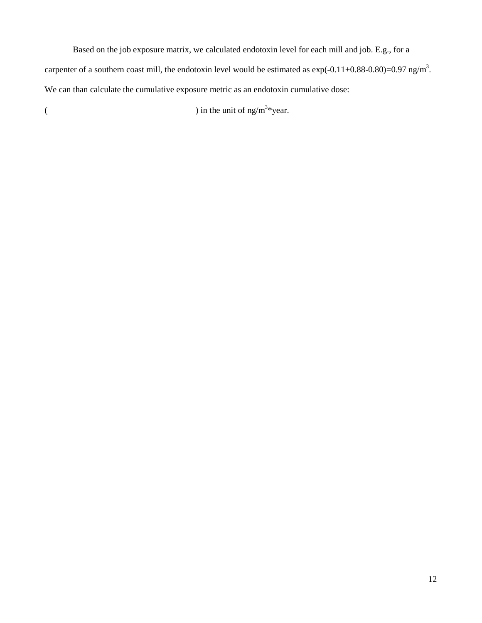Based on the job exposure matrix, we calculated endotoxin level for each mill and job. E.g., for a carpenter of a southern coast mill, the endotoxin level would be estimated as  $exp(-0.11+0.88-0.80)=0.97$  ng/m<sup>3</sup>. We can than calculate the cumulative exposure metric as an endotoxin cumulative dose:

( ) in the unit of ng/m<sup>3\*</sup>year.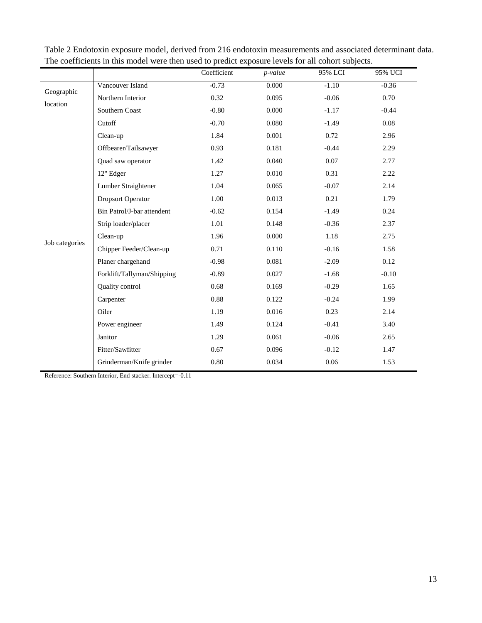|                        |                            | Coefficient | p-value | 95% LCI | 95% UCI |
|------------------------|----------------------------|-------------|---------|---------|---------|
|                        | Vancouver Island           | $-0.73$     | 0.000   | $-1.10$ | $-0.36$ |
| Geographic<br>location | Northern Interior          | 0.32        | 0.095   | $-0.06$ | 0.70    |
|                        | Southern Coast             | $-0.80$     | 0.000   | $-1.17$ | $-0.44$ |
|                        | Cutoff                     | $-0.70$     | 0.080   | $-1.49$ | 0.08    |
|                        | Clean-up                   | 1.84        | 0.001   | 0.72    | 2.96    |
|                        | Offbearer/Tailsawyer       | 0.93        | 0.181   | $-0.44$ | 2.29    |
|                        | Quad saw operator          | 1.42        | 0.040   | 0.07    | 2.77    |
|                        | 12" Edger                  | 1.27        | 0.010   | 0.31    | 2.22    |
|                        | Lumber Straightener        | 1.04        | 0.065   | $-0.07$ | 2.14    |
|                        | <b>Dropsort Operator</b>   | 1.00        | 0.013   | 0.21    | 1.79    |
|                        | Bin Patrol/J-bar attendent | $-0.62$     | 0.154   | $-1.49$ | 0.24    |
|                        | Strip loader/placer        | 1.01        | 0.148   | $-0.36$ | 2.37    |
|                        | Clean-up                   | 1.96        | 0.000   | 1.18    | 2.75    |
| Job categories         | Chipper Feeder/Clean-up    | 0.71        | 0.110   | $-0.16$ | 1.58    |
|                        | Planer chargehand          | $-0.98$     | 0.081   | $-2.09$ | 0.12    |
|                        | Forklift/Tallyman/Shipping | $-0.89$     | 0.027   | $-1.68$ | $-0.10$ |
|                        | Quality control            | 0.68        | 0.169   | $-0.29$ | 1.65    |
|                        | Carpenter                  | 0.88        | 0.122   | $-0.24$ | 1.99    |
|                        | Oiler                      | 1.19        | 0.016   | 0.23    | 2.14    |
|                        | Power engineer             | 1.49        | 0.124   | $-0.41$ | 3.40    |
|                        | Janitor                    | 1.29        | 0.061   | $-0.06$ | 2.65    |
|                        | Fitter/Sawfitter           | 0.67        | 0.096   | $-0.12$ | 1.47    |
|                        | Grinderman/Knife grinder   | 0.80        | 0.034   | 0.06    | 1.53    |

Table 2 Endotoxin exposure model, derived from 216 endotoxin measurements and associated determinant data. The coefficients in this model were then used to predict exposure levels for all cohort subjects.

Reference: Southern Interior, End stacker. Intercept=-0.11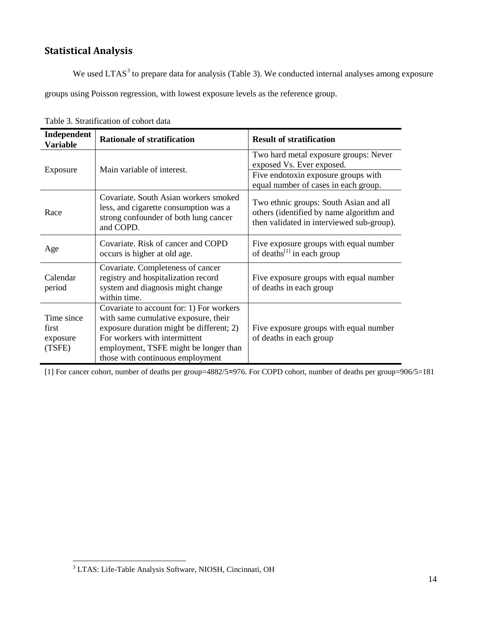# **Statistical Analysis**

We used LTAS<sup>[3](#page-15-0)</sup> to prepare data for analysis (Table 3). We conducted internal analyses among exposure groups using Poisson regression, with lowest exposure levels as the reference group.

| Independent<br><b>Variable</b>            | <b>Rationale of stratification</b>                                                                                                                                                                                                         | <b>Result of stratification</b>                                                                                                 |
|-------------------------------------------|--------------------------------------------------------------------------------------------------------------------------------------------------------------------------------------------------------------------------------------------|---------------------------------------------------------------------------------------------------------------------------------|
| Exposure                                  | Main variable of interest.                                                                                                                                                                                                                 | Two hard metal exposure groups: Never<br>exposed Vs. Ever exposed.                                                              |
|                                           |                                                                                                                                                                                                                                            | Five endotoxin exposure groups with<br>equal number of cases in each group.                                                     |
| Race                                      | Covariate. South Asian workers smoked<br>less, and cigarette consumption was a<br>strong confounder of both lung cancer<br>and COPD.                                                                                                       | Two ethnic groups: South Asian and all<br>others (identified by name algorithm and<br>then validated in interviewed sub-group). |
| Age                                       | Covariate. Risk of cancer and COPD<br>occurs is higher at old age.                                                                                                                                                                         | Five exposure groups with equal number<br>of deaths $^{[1]}$ in each group                                                      |
| Calendar<br>period                        | Covariate. Completeness of cancer<br>registry and hospitalization record<br>system and diagnosis might change<br>within time.                                                                                                              | Five exposure groups with equal number<br>of deaths in each group                                                               |
| Time since<br>first<br>exposure<br>(TSFE) | Covariate to account for: 1) For workers<br>with same cumulative exposure, their<br>exposure duration might be different; 2)<br>For workers with intermittent<br>employment, TSFE might be longer than<br>those with continuous employment | Five exposure groups with equal number<br>of deaths in each group                                                               |

Table 3. Stratification of cohort data

[1] For cancer cohort, number of deaths per group=4882/5≈976. For COPD cohort, number of deaths per group=906/5=181

 $\overline{\phantom{0}}$ 

<span id="page-15-0"></span><sup>&</sup>lt;sup>3</sup> LTAS: Life-Table Analysis Software, NIOSH, Cincinnati, OH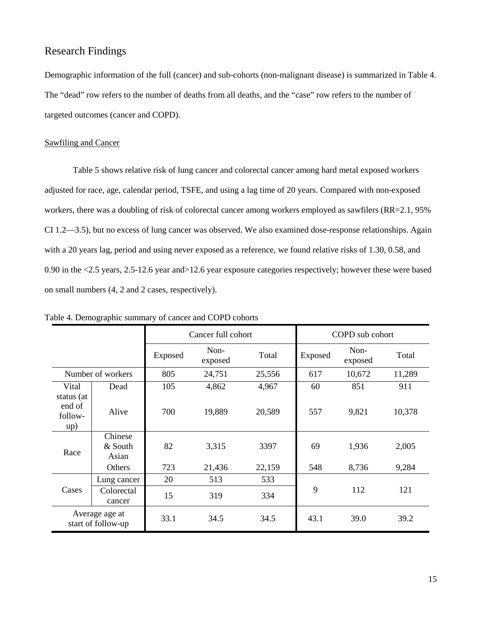# Research Findings

Demographic information of the full (cancer) and sub-cohorts (non-malignant disease) is summarized in Table 4. The "dead" row refers to the number of deaths from all deaths, and the "case" row refers to the number of targeted outcomes (cancer and COPD).

#### Sawfiling and Cancer

Table 5 shows relative risk of lung cancer and colorectal cancer among hard metal exposed workers adjusted for race, age, calendar period, TSFE, and using a lag time of 20 years. Compared with non-exposed workers, there was a doubling of risk of colorectal cancer among workers employed as sawfilers (RR=2.1, 95%) CI 1.2—3.5), but no excess of lung cancer was observed. We also examined dose-response relationships. Again with a 20 years lag, period and using never exposed as a reference, we found relative risks of 1.30, 0.58, and 0.90 in the <2.5 years, 2.5-12.6 year and>12.6 year exposure categories respectively; however these were based on small numbers (4, 2 and 2 cases, respectively).

|                                        |                                       | Cancer full cohort |                 |                | COPD sub cohort |                 |                |
|----------------------------------------|---------------------------------------|--------------------|-----------------|----------------|-----------------|-----------------|----------------|
|                                        |                                       | Exposed            | Non-<br>exposed | Total          | Exposed         | Non-<br>exposed | Total          |
|                                        | Number of workers                     | 805                | 24,751          | 25,556         | 617             | 10,672          | 11,289         |
| Vital                                  | Dead                                  | 105                | 4,862           | 4,967          | 60              | 851             | 911            |
| status (at<br>end of<br>follow-<br>up) | Alive                                 | 700                | 19,889          | 20,589         | 557             | 9,821           | 10,378         |
| Race                                   | Chinese<br>& South<br>Asian<br>Others | 82<br>723          | 3,315<br>21,436 | 3397<br>22,159 | 69<br>548       | 1,936<br>8,736  | 2,005<br>9,284 |
|                                        |                                       | 20                 |                 |                |                 |                 |                |
| Cases                                  | Lung cancer<br>Colorectal<br>cancer   | 15                 | 513<br>319      | 533<br>334     | 9               | 112             | 121            |
|                                        | Average age at<br>start of follow-up  | 33.1               | 34.5            | 34.5           | 43.1            | 39.0            | 39.2           |

Table 4. Demographic summary of cancer and COPD cohorts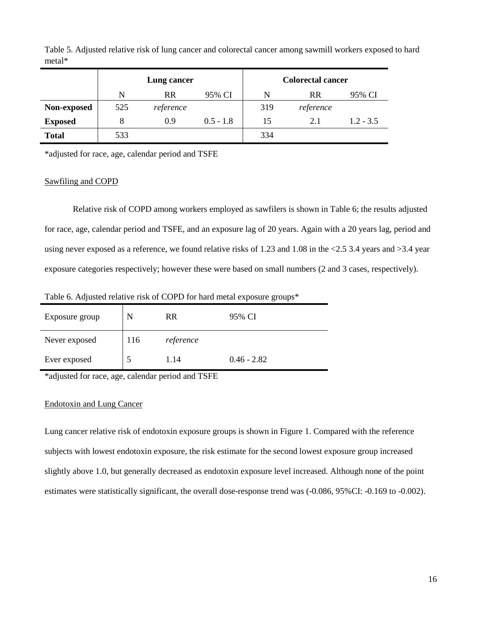|                | Lung cancer |           |             | <b>Colorectal cancer</b> |           |             |
|----------------|-------------|-----------|-------------|--------------------------|-----------|-------------|
|                | N           | <b>RR</b> | 95% CI      | N                        | <b>RR</b> | 95% CI      |
| Non-exposed    | 525         | reference |             | 319                      | reference |             |
| <b>Exposed</b> |             | 0.9       | $0.5 - 1.8$ | 15                       | 2.1       | $1.2 - 3.5$ |
| <b>Total</b>   | 533         |           |             | 334                      |           |             |

Table 5. Adjusted relative risk of lung cancer and colorectal cancer among sawmill workers exposed to hard metal\*

\*adjusted for race, age, calendar period and TSFE

#### Sawfiling and COPD

Relative risk of COPD among workers employed as sawfilers is shown in Table 6; the results adjusted for race, age, calendar period and TSFE, and an exposure lag of 20 years. Again with a 20 years lag, period and using never exposed as a reference, we found relative risks of 1.23 and 1.08 in the  $\leq 2.5$  3.4 years and  $\geq 3.4$  year exposure categories respectively; however these were based on small numbers (2 and 3 cases, respectively).

Table 6. Adjusted relative risk of COPD for hard metal exposure groups\*

| Exposure group | N   | RR        | 95% CI        |
|----------------|-----|-----------|---------------|
| Never exposed  | 116 | reference |               |
| Ever exposed   |     | 1.14      | $0.46 - 2.82$ |

\*adjusted for race, age, calendar period and TSFE

#### Endotoxin and Lung Cancer

Lung cancer relative risk of endotoxin exposure groups is shown in Figure 1. Compared with the reference subjects with lowest endotoxin exposure, the risk estimate for the second lowest exposure group increased slightly above 1.0, but generally decreased as endotoxin exposure level increased. Although none of the point estimates were statistically significant, the overall dose-response trend was (-0.086, 95%CI: -0.169 to -0.002).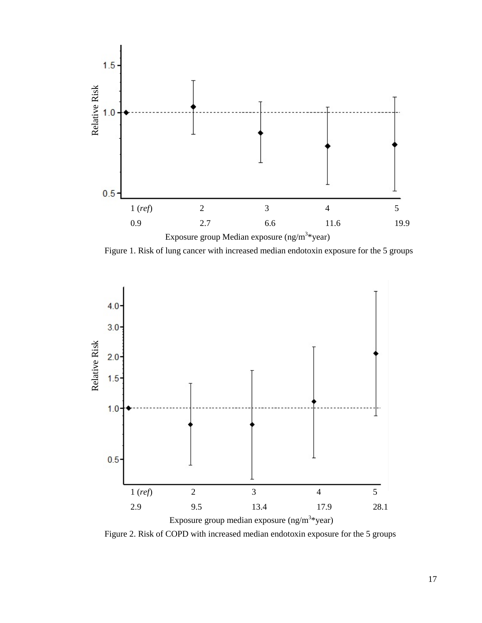

Figure 1. Risk of lung cancer with increased median endotoxin exposure for the 5 groups



Figure 2. Risk of COPD with increased median endotoxin exposure for the 5 groups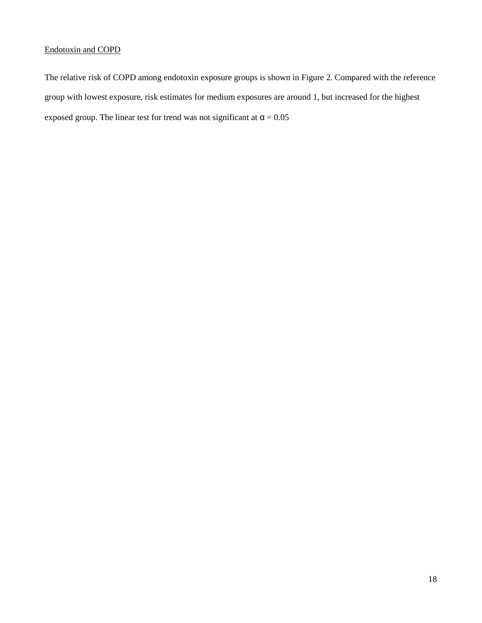# Endotoxin and COPD

The relative risk of COPD among endotoxin exposure groups is shown in Figure 2. Compared with the reference group with lowest exposure, risk estimates for medium exposures are around 1, but increased for the highest exposed group. The linear test for trend was not significant at  $\alpha = 0.05$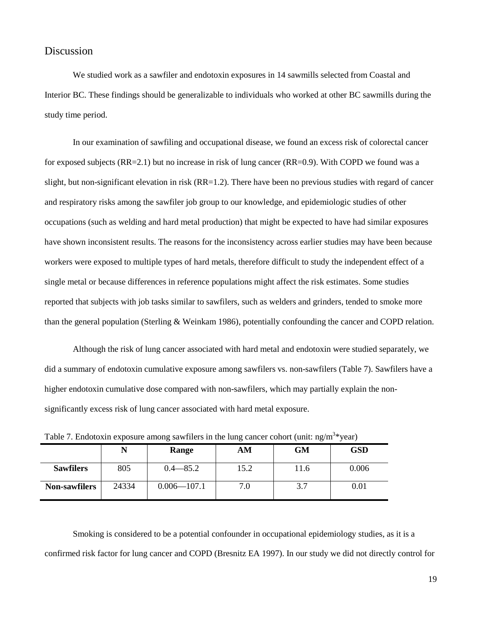# Discussion

We studied work as a sawfiler and endotoxin exposures in 14 sawmills selected from Coastal and Interior BC. These findings should be generalizable to individuals who worked at other BC sawmills during the study time period.

In our examination of sawfiling and occupational disease, we found an excess risk of colorectal cancer for exposed subjects (RR=2.1) but no increase in risk of lung cancer (RR=0.9). With COPD we found was a slight, but non-significant elevation in risk  $(RR=1.2)$ . There have been no previous studies with regard of cancer and respiratory risks among the sawfiler job group to our knowledge, and epidemiologic studies of other occupations (such as welding and hard metal production) that might be expected to have had similar exposures have shown inconsistent results. The reasons for the inconsistency across earlier studies may have been because workers were exposed to multiple types of hard metals, therefore difficult to study the independent effect of a single metal or because differences in reference populations might affect the risk estimates. Some studies reported that subjects with job tasks similar to sawfilers, such as welders and grinders, tended to smoke more than the general population (Sterling & Weinkam 1986), potentially confounding the cancer and COPD relation.

Although the risk of lung cancer associated with hard metal and endotoxin were studied separately, we did a summary of endotoxin cumulative exposure among sawfilers vs. non-sawfilers (Table 7). Sawfilers have a higher endotoxin cumulative dose compared with non-sawfilers, which may partially explain the nonsignificantly excess risk of lung cancer associated with hard metal exposure.

|                      |       | Range           | AM   | <b>GM</b> | <b>GSD</b> |
|----------------------|-------|-----------------|------|-----------|------------|
| <b>Sawfilers</b>     | 805   | $0.4 - 85.2$    | 15.2 | 11.6      | 0.006      |
| <b>Non-sawfilers</b> | 24334 | $0.006 - 107.1$ | 7.0  | 3.7       | 0.01       |

Table 7. Endotoxin exposure among sawfilers in the lung cancer cohort (unit: ng/m<sup>3\*</sup>year)

Smoking is considered to be a potential confounder in occupational epidemiology studies, as it is a confirmed risk factor for lung cancer and COPD (Bresnitz EA 1997). In our study we did not directly control for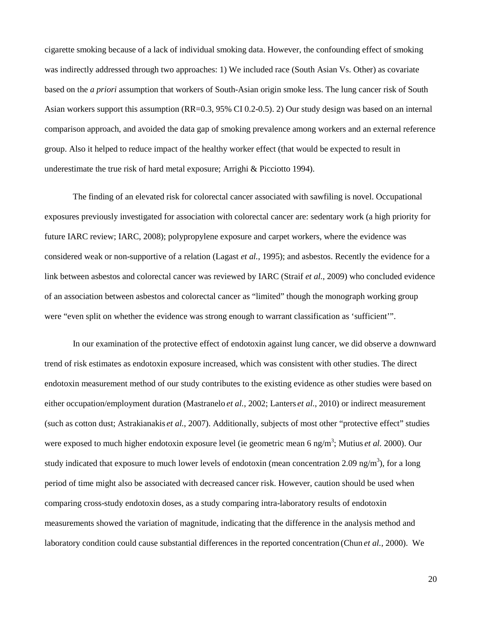cigarette smoking because of a lack of individual smoking data. However, the confounding effect of smoking was indirectly addressed through two approaches: 1) We included race (South Asian Vs. Other) as covariate based on the *a priori* assumption that workers of South-Asian origin smoke less. The lung cancer risk of South Asian workers support this assumption (RR=0.3, 95% CI 0.2-0.5). 2) Our study design was based on an internal comparison approach, and avoided the data gap of smoking prevalence among workers and an external reference group. Also it helped to reduce impact of the healthy worker effect (that would be expected to result in underestimate the true risk of hard metal exposure; Arrighi & Picciotto 1994).

The finding of an elevated risk for colorectal cancer associated with sawfiling is novel. Occupational exposures previously investigated for association with colorectal cancer are: sedentary work (a high priority for future IARC review; IARC, 2008); polypropylene exposure and carpet workers, where the evidence was considered weak or non-supportive of a relation (Lagast *et al.*, 1995); and asbestos. Recently the evidence for a link between asbestos and colorectal cancer was reviewed by IARC (Straif *et al.*, 2009) who concluded evidence of an association between asbestos and colorectal cancer as "limited" though the monograph working group were "even split on whether the evidence was strong enough to warrant classification as 'sufficient'".

In our examination of the protective effect of endotoxin against lung cancer, we did observe a downward trend of risk estimates as endotoxin exposure increased, which was consistent with other studies. The direct endotoxin measurement method of our study contributes to the existing evidence as other studies were based on either occupation/employment duration (Mastranelo *et al.*, 2002; Lanters *et al.*, 2010) or indirect measurement (such as cotton dust; Astrakianakis *et al.*, 2007). Additionally, subjects of most other "protective effect" studies were exposed to much higher endotoxin exposure level (ie geometric mean 6 ng/m<sup>3</sup>; Mutius *et al.* 2000). Our study indicated that exposure to much lower levels of endotoxin (mean concentration 2.09 ng/m<sup>3</sup>), for a long period of time might also be associated with decreased cancer risk. However, caution should be used when comparing cross-study endotoxin doses, as a study comparing intra-laboratory results of endotoxin measurements showed the variation of magnitude, indicating that the difference in the analysis method and laboratory condition could cause substantial differences in the reported concentration (Chun *et al.*, 2000). We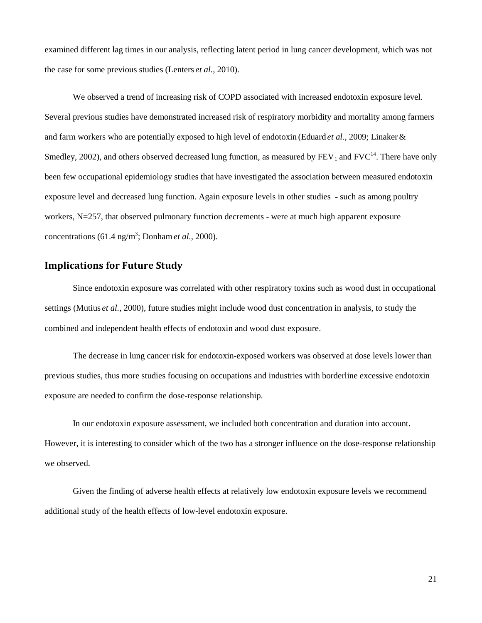examined different lag times in our analysis, reflecting latent period in lung cancer development, which was not the case for some previous studies (Lenters *et al.*, 2010).

We observed a trend of increasing risk of COPD associated with increased endotoxin exposure level. Several previous studies have demonstrated increased risk of respiratory morbidity and mortality among farmers and farm workers who are potentially exposed to high level of endotoxin (Eduard *et al.*, 2009; Linaker& Smedley, 2002), and others observed decreased lung function, as measured by  $FEV_1$  and  $FVC^{14}$ . There have only been few occupational epidemiology studies that have investigated the association between measured endotoxin exposure level and decreased lung function. Again exposure levels in other studies - such as among poultry workers, N=257, that observed pulmonary function decrements - were at much high apparent exposure concentrations  $(61.4 \text{ ng/m}^3; \text{Donham } et \text{ al.}, 2000).$ 

#### **Implications for Future Study**

Since endotoxin exposure was correlated with other respiratory toxins such as wood dust in occupational settings (Mutius *et al.*, 2000), future studies might include wood dust concentration in analysis, to study the combined and independent health effects of endotoxin and wood dust exposure.

The decrease in lung cancer risk for endotoxin-exposed workers was observed at dose levels lower than previous studies, thus more studies focusing on occupations and industries with borderline excessive endotoxin exposure are needed to confirm the dose-response relationship.

In our endotoxin exposure assessment, we included both concentration and duration into account. However, it is interesting to consider which of the two has a stronger influence on the dose-response relationship we observed.

Given the finding of adverse health effects at relatively low endotoxin exposure levels we recommend additional study of the health effects of low-level endotoxin exposure.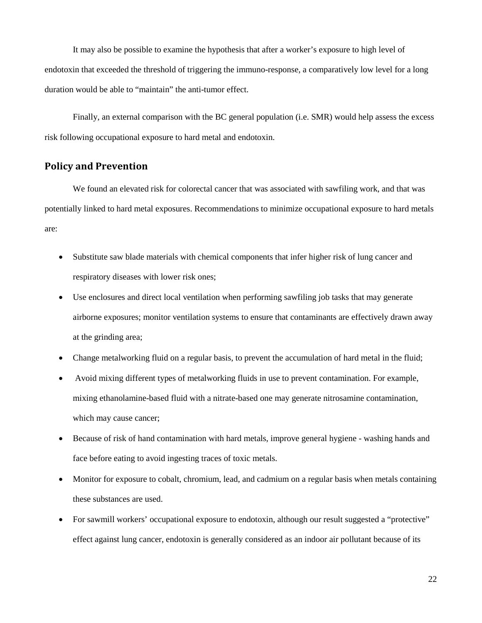It may also be possible to examine the hypothesis that after a worker's exposure to high level of endotoxin that exceeded the threshold of triggering the immuno-response, a comparatively low level for a long duration would be able to "maintain" the anti-tumor effect.

Finally, an external comparison with the BC general population (i.e. SMR) would help assess the excess risk following occupational exposure to hard metal and endotoxin.

#### **Policy and Prevention**

We found an elevated risk for colorectal cancer that was associated with sawfiling work, and that was potentially linked to hard metal exposures. Recommendations to minimize occupational exposure to hard metals are:

- Substitute saw blade materials with chemical components that infer higher risk of lung cancer and respiratory diseases with lower risk ones;
- Use enclosures and direct local ventilation when performing sawfiling job tasks that may generate airborne exposures; monitor ventilation systems to ensure that contaminants are effectively drawn away at the grinding area;
- Change metalworking fluid on a regular basis, to prevent the accumulation of hard metal in the fluid;
- Avoid mixing different types of metalworking fluids in use to prevent contamination. For example, mixing ethanolamine-based fluid with a nitrate-based one may generate nitrosamine contamination, which may cause cancer;
- Because of risk of hand contamination with hard metals, improve general hygiene washing hands and face before eating to avoid ingesting traces of toxic metals.
- Monitor for exposure to cobalt, chromium, lead, and cadmium on a regular basis when metals containing these substances are used.
- For sawmill workers' occupational exposure to endotoxin, although our result suggested a "protective" effect against lung cancer, endotoxin is generally considered as an indoor air pollutant because of its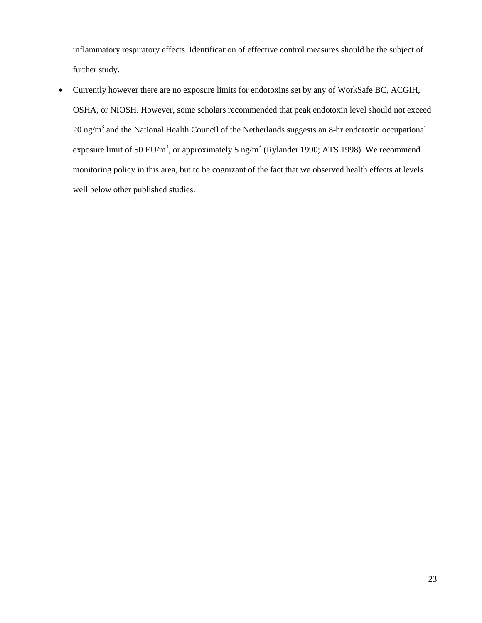inflammatory respiratory effects. Identification of effective control measures should be the subject of further study.

• Currently however there are no exposure limits for endotoxins set by any of WorkSafe BC, ACGIH, OSHA, or NIOSH. However, some scholars recommended that peak endotoxin level should not exceed  $20$  ng/m<sup>3</sup> and the National Health Council of the Netherlands suggests an 8-hr endotoxin occupational exposure limit of 50 EU/m<sup>3</sup>, or approximately 5 ng/m<sup>3</sup> (Rylander 1990; ATS 1998). We recommend monitoring policy in this area, but to be cognizant of the fact that we observed health effects at levels well below other published studies.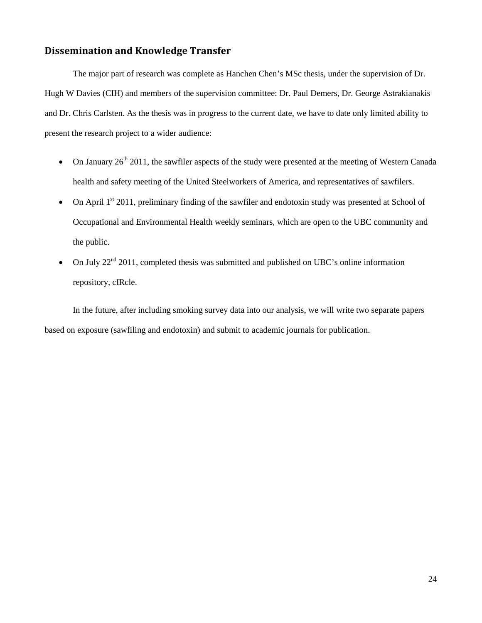#### **Dissemination and Knowledge Transfer**

The major part of research was complete as Hanchen Chen's MSc thesis, under the supervision of Dr. Hugh W Davies (CIH) and members of the supervision committee: Dr. Paul Demers, Dr. George Astrakianakis and Dr. Chris Carlsten. As the thesis was in progress to the current date, we have to date only limited ability to present the research project to a wider audience:

- On January  $26<sup>th</sup> 2011$ , the sawfiler aspects of the study were presented at the meeting of Western Canada health and safety meeting of the United Steelworkers of America, and representatives of sawfilers.
- On April  $1<sup>st</sup>$  2011, preliminary finding of the sawfiler and endotoxin study was presented at School of Occupational and Environmental Health weekly seminars, which are open to the UBC community and the public.
- On July  $22<sup>nd</sup>$  2011, completed thesis was submitted and published on UBC's online information repository, cIRcle.

In the future, after including smoking survey data into our analysis, we will write two separate papers based on exposure (sawfiling and endotoxin) and submit to academic journals for publication.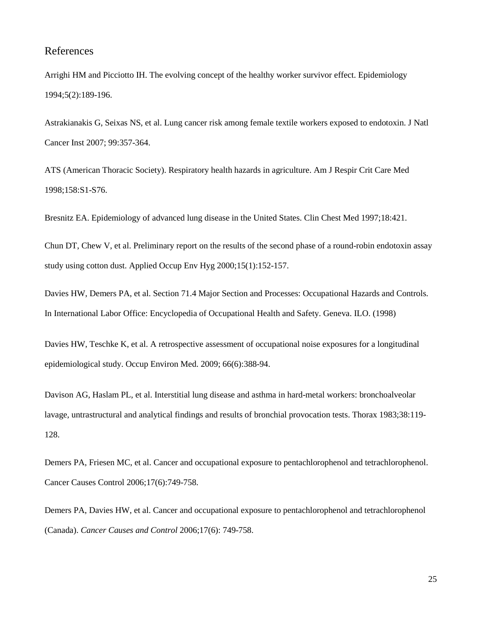# References

Arrighi HM and Picciotto IH. The evolving concept of the healthy worker survivor effect. Epidemiology 1994;5(2):189-196.

Astrakianakis G, Seixas NS, et al. Lung cancer risk among female textile workers exposed to endotoxin. J Natl Cancer Inst 2007; 99:357-364.

ATS (American Thoracic Society). Respiratory health hazards in agriculture. Am J Respir Crit Care Med 1998;158:S1-S76.

Bresnitz EA. Epidemiology of advanced lung disease in the United States. Clin Chest Med 1997;18:421.

Chun DT, Chew V, et al. Preliminary report on the results of the second phase of a round-robin endotoxin assay study using cotton dust. Applied Occup Env Hyg 2000;15(1):152-157.

Davies HW, Demers PA, et al. Section 71.4 Major Section and Processes: Occupational Hazards and Controls. In International Labor Office: Encyclopedia of Occupational Health and Safety. Geneva. ILO. (1998)

Davies HW, Teschke K, et al. A retrospective assessment of occupational noise exposures for a longitudinal epidemiological study. Occup Environ Med. 2009; 66(6):388-94.

Davison AG, Haslam PL, et al. Interstitial lung disease and asthma in hard-metal workers: bronchoalveolar lavage, untrastructural and analytical findings and results of bronchial provocation tests. Thorax 1983;38:119- 128.

Demers PA, Friesen MC, et al. Cancer and occupational exposure to pentachlorophenol and tetrachlorophenol. Cancer Causes Control 2006;17(6):749-758.

Demers PA, Davies HW, et al. Cancer and occupational exposure to pentachlorophenol and tetrachlorophenol (Canada). *Cancer Causes and Control* 2006;17(6): 749-758.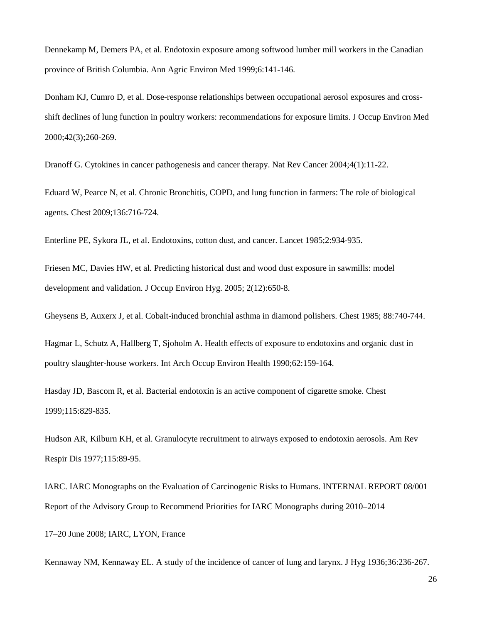Dennekamp M, Demers PA, et al. Endotoxin exposure among softwood lumber mill workers in the Canadian province of British Columbia. Ann Agric Environ Med 1999;6:141-146.

Donham KJ, Cumro D, et al. Dose-response relationships between occupational aerosol exposures and crossshift declines of lung function in poultry workers: recommendations for exposure limits. J Occup Environ Med 2000;42(3);260-269.

Dranoff G. Cytokines in cancer pathogenesis and cancer therapy. Nat Rev Cancer 2004;4(1):11-22.

Eduard W, Pearce N, et al. Chronic Bronchitis, COPD, and lung function in farmers: The role of biological agents. Chest 2009;136:716-724.

Enterline PE, Sykora JL, et al. Endotoxins, cotton dust, and cancer. Lancet 1985;2:934-935.

Friesen MC, Davies HW, et al. Predicting historical dust and wood dust exposure in sawmills: model development and validation. J Occup Environ Hyg. 2005; 2(12):650-8.

Gheysens B, Auxerx J, et al. Cobalt-induced bronchial asthma in diamond polishers. Chest 1985; 88:740-744.

Hagmar L, Schutz A, Hallberg T, Sjoholm A. Health effects of exposure to endotoxins and organic dust in poultry slaughter-house workers. Int Arch Occup Environ Health 1990;62:159-164.

Hasday JD, Bascom R, et al. Bacterial endotoxin is an active component of cigarette smoke. Chest 1999;115:829-835.

Hudson AR, Kilburn KH, et al. Granulocyte recruitment to airways exposed to endotoxin aerosols. Am Rev Respir Dis 1977;115:89-95.

IARC. IARC Monographs on the Evaluation of Carcinogenic Risks to Humans. INTERNAL REPORT 08/001 Report of the Advisory Group to Recommend Priorities for IARC Monographs during 2010–2014

17–20 June 2008; IARC, LYON, France

Kennaway NM, Kennaway EL. A study of the incidence of cancer of lung and larynx. J Hyg 1936;36:236-267.

26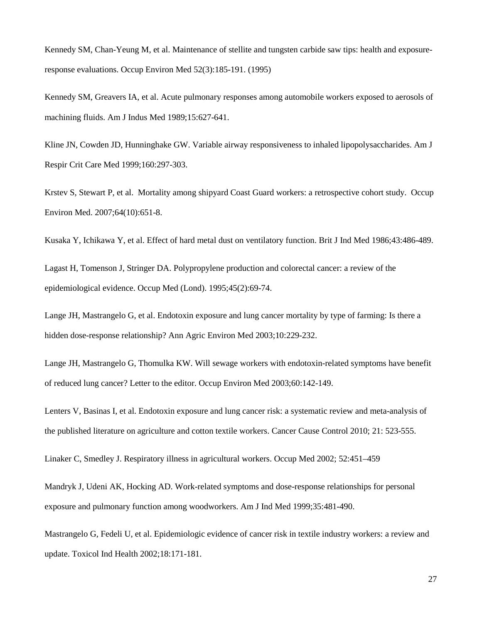Kennedy SM, Chan-Yeung M, et al. Maintenance of stellite and tungsten carbide saw tips: health and exposureresponse evaluations. Occup Environ Med 52(3):185-191. (1995)

Kennedy SM, Greavers IA, et al. Acute pulmonary responses among automobile workers exposed to aerosols of machining fluids. Am J Indus Med 1989;15:627-641.

Kline JN, Cowden JD, Hunninghake GW. Variable airway responsiveness to inhaled lipopolysaccharides. Am J Respir Crit Care Med 1999;160:297-303.

Krstev S, Stewart P, et al. Mortality among shipyard Coast Guard workers: a retrospective cohort study. Occup Environ Med. 2007;64(10):651-8.

Kusaka Y, Ichikawa Y, et al. Effect of hard metal dust on ventilatory function. Brit J Ind Med 1986;43:486-489.

Lagast H, Tomenson J, Stringer DA. Polypropylene production and colorectal cancer: a review of the epidemiological evidence. Occup Med (Lond). 1995;45(2):69-74.

Lange JH, Mastrangelo G, et al. Endotoxin exposure and lung cancer mortality by type of farming: Is there a hidden dose-response relationship? Ann Agric Environ Med 2003;10:229-232.

Lange JH, Mastrangelo G, Thomulka KW. Will sewage workers with endotoxin-related symptoms have benefit of reduced lung cancer? Letter to the editor. Occup Environ Med 2003;60:142-149.

Lenters V, Basinas I, et al. Endotoxin exposure and lung cancer risk: a systematic review and meta-analysis of the published literature on agriculture and cotton textile workers. Cancer Cause Control 2010; 21: 523-555.

Linaker C, Smedley J. Respiratory illness in agricultural workers. Occup Med 2002; 52:451–459

Mandryk J, Udeni AK, Hocking AD. Work-related symptoms and dose-response relationships for personal exposure and pulmonary function among woodworkers. Am J Ind Med 1999;35:481-490.

Mastrangelo G, Fedeli U, et al. Epidemiologic evidence of cancer risk in textile industry workers: a review and update. Toxicol Ind Health 2002;18:171-181.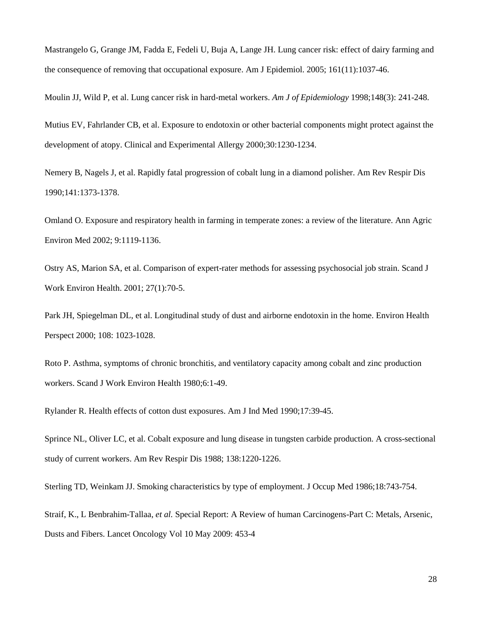Mastrangelo G, Grange JM, Fadda E, Fedeli U, Buja A, Lange JH. Lung cancer risk: effect of dairy farming and the consequence of removing that occupational exposure. Am J Epidemiol. 2005; 161(11):1037-46.

Moulin JJ, Wild P, et al. Lung cancer risk in hard-metal workers. *Am J of Epidemiology* 1998;148(3): 241-248.

Mutius EV, Fahrlander CB, et al. Exposure to endotoxin or other bacterial components might protect against the development of atopy. Clinical and Experimental Allergy 2000;30:1230-1234.

Nemery B, Nagels J, et al. Rapidly fatal progression of cobalt lung in a diamond polisher. Am Rev Respir Dis 1990;141:1373-1378.

Omland O. Exposure and respiratory health in farming in temperate zones: a review of the literature. Ann Agric Environ Med 2002; 9:1119-1136.

Ostry AS, Marion SA, et al. Comparison of expert-rater methods for assessing psychosocial job strain. Scand J Work Environ Health. 2001; 27(1):70-5.

Park JH, Spiegelman DL, et al. Longitudinal study of dust and airborne endotoxin in the home. Environ Health Perspect 2000; 108: 1023-1028.

Roto P. Asthma, symptoms of chronic bronchitis, and ventilatory capacity among cobalt and zinc production workers. Scand J Work Environ Health 1980;6:1-49.

Rylander R. Health effects of cotton dust exposures. Am J Ind Med 1990;17:39-45.

Sprince NL, Oliver LC, et al. Cobalt exposure and lung disease in tungsten carbide production. A cross-sectional study of current workers. Am Rev Respir Dis 1988; 138:1220-1226.

Sterling TD, Weinkam JJ. Smoking characteristics by type of employment. J Occup Med 1986;18:743-754.

Straif, K., L Benbrahim-Tallaa, *et al.* Special Report: A Review of human Carcinogens-Part C: Metals, Arsenic, Dusts and Fibers. Lancet Oncology Vol 10 May 2009: 453-4